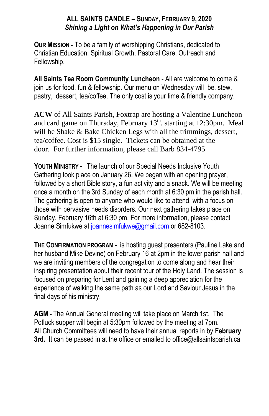#### **ALL SAINTS CANDLE – SUNDAY, FEBRUARY 9, 2020** *Shining a Light on What's Happening in Our Parish*

**OUR MISSION -** To be a family of worshipping Christians, dedicated to Christian Education, Spiritual Growth, Pastoral Care, Outreach and Fellowship.

**All Saints Tea Room Community Luncheon** - All are welcome to come & join us for food, fun & fellowship. Our menu on Wednesday will be, stew, pastry, dessert, tea/coffee. The only cost is your time & friendly company.

**ACW** of All Saints Parish, Foxtrap are hosting a Valentine Luncheon and card game on Thursday, February 13<sup>th</sup>. starting at 12:30pm. Meal will be Shake & Bake Chicken Legs with all the trimmings, dessert, tea/coffee. Cost is \$15 single. Tickets can be obtained at the door. For further information, please call Barb 834-4795

**YOUTH MINISTRY -** The launch of our Special Needs Inclusive Youth Gathering took place on January 26. We began with an opening prayer, followed by a short Bible story, a fun activity and a snack. We will be meeting once a month on the 3rd Sunday of each month at 6:30 pm in the parish hall. The gathering is open to anyone who would like to attend, with a focus on those with pervasive needs disorders. Our next gathering takes place on Sunday, February 16th at 6:30 pm. For more information, please contact Joanne Simfukwe at [joannesimfukwe@gmail.com](mailto:joannesimfukwe@gmail.com) or 682-8103.

**THE CONFIRMATION PROGRAM -** is hosting guest presenters (Pauline Lake and her husband Mike Devine) on February 16 at 2pm in the lower parish hall and we are inviting members of the congregation to come along and hear their inspiring presentation about their recent tour of the Holy Land. The session is focused on preparing for Lent and gaining a deep appreciation for the experience of walking the same path as our Lord and Saviour Jesus in the final days of his ministry.

**AGM -** The Annual General meeting will take place on March 1st. The Potluck supper will begin at 5:30pm followed by the meeting at 7pm. All Church Committees will need to have their annual reports in by **February 3rd.** It can be passed in at the office or emailed to office@allsaintsparish.ca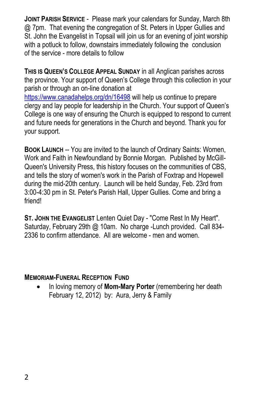**JOINT PARISH SERVICE** - Please mark your calendars for Sunday, March 8th @ 7pm. That evening the congregation of St. Peters in Upper Gullies and St. John the Evangelist in Topsail will join us for an evening of joint worship with a potluck to follow, downstairs immediately following the conclusion of the service - more details to follow

**THIS IS QUEEN'S COLLEGE APPEAL SUNDAY** in all Anglican parishes across the province. Your support of Queen's College through this collection in your parish or through an on-line donation at <https://www.canadahelps.org/dn/16498> will help us continue to prepare clergy and lay people for leadership in the Church. Your support of Queen's College is one way of ensuring the Church is equipped to respond to current and future needs for generations in the Church and beyond. Thank you for your support.

**BOOK LAUNCH** -- You are invited to the launch of Ordinary Saints: Women, Work and Faith in Newfoundland by Bonnie Morgan. Published by McGill-Queen's University Press, this history focuses on the communities of CBS, and tells the story of women's work in the Parish of Foxtrap and Hopewell during the mid-20th century. Launch will be held Sunday, Feb. 23rd from 3:00-4:30 pm in St. Peter's Parish Hall, Upper Gullies. Come and bring a friend!

**ST. JOHN THE EVANGELIST** Lenten Quiet Day - "Come Rest In My Heart". Saturday, February 29th @ 10am. No charge -Lunch provided. Call 834-2336 to confirm attendance. All are welcome - men and women.

#### **MEMORIAM-FUNERAL RECEPTION FUND**

 In loving memory of **Mom-Mary Porter** (remembering her death February 12, 2012) by: Aura, Jerry & Family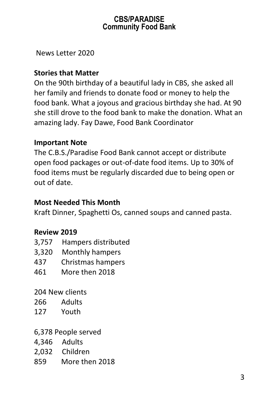## **CBS/PARADISE Community Food Bank**

News Letter 2020

# **Stories that Matter**

On the 90th birthday of a beautiful lady in CBS, she asked all her family and friends to donate food or money to help the food bank. What a joyous and gracious birthday she had. At 90 she still drove to the food bank to make the donation. What an amazing lady. Fay Dawe, Food Bank Coordinator

# **Important Note**

The C.B.S./Paradise Food Bank cannot accept or distribute open food packages or out-of-date food items. Up to 30% of food items must be regularly discarded due to being open or out of date.

## **Most Needed This Month**

Kraft Dinner, Spaghetti Os, canned soups and canned pasta.

### **Review 2019**

- 3,757 Hampers distributed
- 3,320 Monthly hampers
- 437 Christmas hampers
- 461 More then 2018

204 New clients

- 266 Adults
- 127 Youth
- 6,378 People served
- 4,346 Adults
- 2,032 Children
- 859 More then 2018